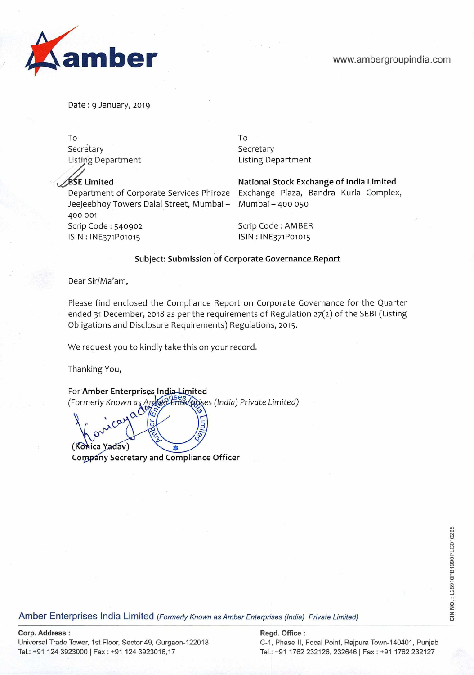

Date: 9 January, 2019

To Secretary Listing Deoartment

**BSE Limited** 

Department of Corporate Services Phiroze Jeejeebhoy Towers Dalal Street, Mumbal — 400 001 Scrip Code: 540902 ISIN: lNE371Po1o15

To Secretary Listing Department

National Stock Exchange of India Limited Exchange Plaza, Bandra Kurla Complex, Mumbai —400 050

Scrip Code : AMBER SIN: INE371Po1015

## Subject: Submission of Corporate Governance Report

Dear Sir/Ma'am,

Please find enclosed the Compliance Report on Corporate Governance for the Quarter ended 31 December, 2018 as per the requirements of Regulation 27(2) of the SEBI (Listing Obligations and Disclosure Requirements) Regulations, 2015.

We request you to kindly take this on your record.

Thanking You,

For Amber Enterprises India Limited rer millet Enterprises in Essance<br>(Formerly Known as Ambel-Enterprises (India) Private Limited)  $\alpha^c$ 

(Konica Yadav) Company Secretary and Compliance Officer

**Amber Enterprises India Limited** (Formerly Known as Amber Enterprises (India) Private Limited)

## **Corp. Address:** Regd. Office:

Universal Trade Tower, 1st Floor, Sector 49, Gurgaon-122018 C-1, Phase II, Focal Point, Rajpura Town-140401, Punjab Tel.: +91 124 3923000 | Fax : +91 124 3923016,17 Tel.: +91 1762 232126, 232646 | Fax : +91 1762 232127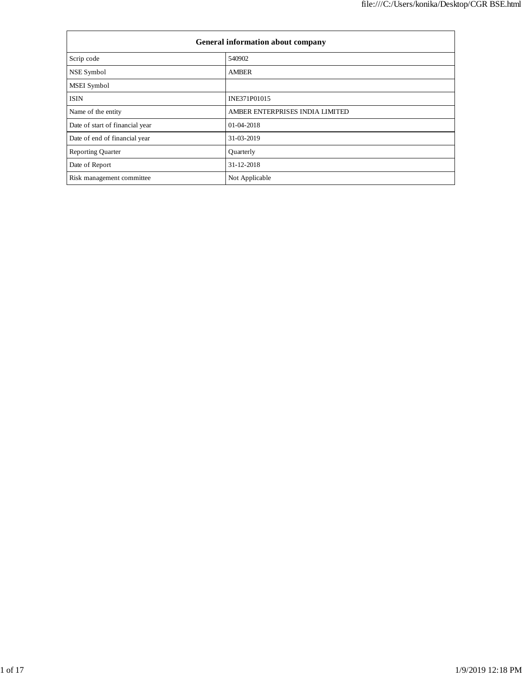| <b>General information about company</b> |                                 |  |  |  |  |  |
|------------------------------------------|---------------------------------|--|--|--|--|--|
| Scrip code                               | 540902                          |  |  |  |  |  |
| NSE Symbol                               | <b>AMBER</b>                    |  |  |  |  |  |
| <b>MSEI</b> Symbol                       |                                 |  |  |  |  |  |
| <b>ISIN</b>                              | INE371P01015                    |  |  |  |  |  |
| Name of the entity                       | AMBER ENTERPRISES INDIA LIMITED |  |  |  |  |  |
| Date of start of financial year          | $01-04-2018$                    |  |  |  |  |  |
| Date of end of financial year            | 31-03-2019                      |  |  |  |  |  |
| <b>Reporting Quarter</b>                 | Quarterly                       |  |  |  |  |  |
| Date of Report                           | 31-12-2018                      |  |  |  |  |  |
| Risk management committee                | Not Applicable                  |  |  |  |  |  |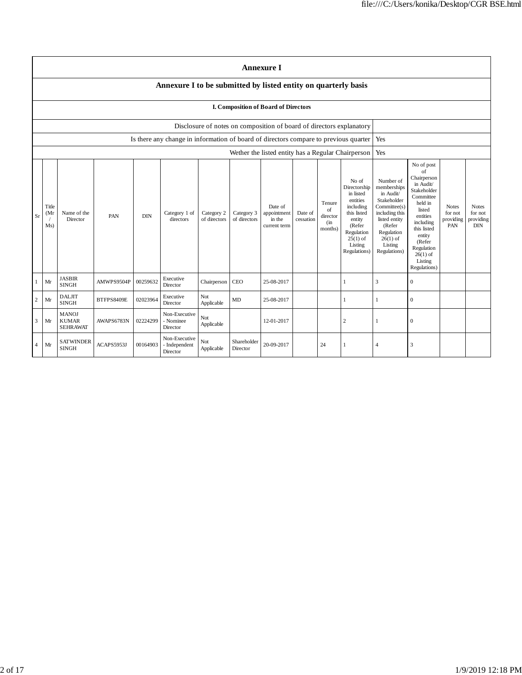|                | <b>Annexure I</b>                                                    |                                                 |            |            |                                                                                      |                            |                            |                                                    |                      |                                            |                                                                                                                                                       |                                                                                                                                                                          |                                                                                                                                                                                                                  |                                             |                                                                     |
|----------------|----------------------------------------------------------------------|-------------------------------------------------|------------|------------|--------------------------------------------------------------------------------------|----------------------------|----------------------------|----------------------------------------------------|----------------------|--------------------------------------------|-------------------------------------------------------------------------------------------------------------------------------------------------------|--------------------------------------------------------------------------------------------------------------------------------------------------------------------------|------------------------------------------------------------------------------------------------------------------------------------------------------------------------------------------------------------------|---------------------------------------------|---------------------------------------------------------------------|
|                | Annexure I to be submitted by listed entity on quarterly basis       |                                                 |            |            |                                                                                      |                            |                            |                                                    |                      |                                            |                                                                                                                                                       |                                                                                                                                                                          |                                                                                                                                                                                                                  |                                             |                                                                     |
|                | I. Composition of Board of Directors                                 |                                                 |            |            |                                                                                      |                            |                            |                                                    |                      |                                            |                                                                                                                                                       |                                                                                                                                                                          |                                                                                                                                                                                                                  |                                             |                                                                     |
|                | Disclosure of notes on composition of board of directors explanatory |                                                 |            |            |                                                                                      |                            |                            |                                                    |                      |                                            |                                                                                                                                                       |                                                                                                                                                                          |                                                                                                                                                                                                                  |                                             |                                                                     |
|                |                                                                      |                                                 |            |            | Is there any change in information of board of directors compare to previous quarter |                            |                            |                                                    |                      |                                            |                                                                                                                                                       | Yes                                                                                                                                                                      |                                                                                                                                                                                                                  |                                             |                                                                     |
|                |                                                                      |                                                 |            |            |                                                                                      |                            |                            | Wether the listed entity has a Regular Chairperson |                      |                                            |                                                                                                                                                       | Yes                                                                                                                                                                      |                                                                                                                                                                                                                  |                                             |                                                                     |
| <b>Sr</b>      | Title<br>(Mr<br>Ms)                                                  | Name of the<br>Director                         | PAN        | <b>DIN</b> | Category 1 of<br>directors                                                           | Category 2<br>of directors | Category 3<br>of directors | Date of<br>appointment<br>in the<br>current term   | Date of<br>cessation | Tenure<br>of<br>director<br>(in<br>months) | No of<br>Directorship<br>in listed<br>entities<br>including<br>this listed<br>entity<br>(Refer<br>Regulation<br>$25(1)$ of<br>Listing<br>Regulations) | Number of<br>memberships<br>in Audit/<br>Stakeholder<br>Committee(s)<br>including this<br>listed entity<br>(Refer<br>Regulation<br>$26(1)$ of<br>Listing<br>Regulations) | No of post<br>of<br>Chairperson<br>in Audit/<br>Stakeholder<br>Committee<br>held in<br>listed<br>entities<br>including<br>this listed<br>entity<br>(Refer<br>Regulation<br>$26(1)$ of<br>Listing<br>Regulations) | <b>Notes</b><br>for not<br>providing<br>PAN | <b>Notes</b><br>for not<br>$\operatorname{providing}$<br><b>DIN</b> |
| $\mathbf{1}$   | Mr                                                                   | <b>JASBIR</b><br><b>SINGH</b>                   | AMWPS9504P | 00259632   | Executive<br>Director                                                                | Chairperson                | <b>CEO</b>                 | 25-08-2017                                         |                      |                                            | 1                                                                                                                                                     | 3                                                                                                                                                                        | $\mathbf{0}$                                                                                                                                                                                                     |                                             |                                                                     |
| $\overline{c}$ | Mr                                                                   | <b>DALJIT</b><br><b>SINGH</b>                   | BTFPS8409E | 02023964   | Executive<br>Director                                                                | Not<br>Applicable          | MD                         | 25-08-2017                                         |                      |                                            |                                                                                                                                                       |                                                                                                                                                                          | $\mathbf{0}$                                                                                                                                                                                                     |                                             |                                                                     |
| 3              | Mr                                                                   | <b>MANOJ</b><br><b>KUMAR</b><br><b>SEHRAWAT</b> | AWAPS6783N | 02224299   | Non-Executive<br>- Nominee<br>Director                                               | Not<br>Applicable          |                            | 12-01-2017                                         |                      |                                            | $\overline{c}$                                                                                                                                        |                                                                                                                                                                          | $\mathbf{0}$                                                                                                                                                                                                     |                                             |                                                                     |
| $\overline{4}$ | Mr                                                                   | <b>SATWINDER</b><br><b>SINGH</b>                | ACAPS5953J | 00164903   | Non-Executive<br>- Independent<br>Director                                           | Not<br>Applicable          | Shareholder<br>Director    | 20-09-2017                                         |                      | 24                                         |                                                                                                                                                       | $\overline{4}$                                                                                                                                                           | 3                                                                                                                                                                                                                |                                             |                                                                     |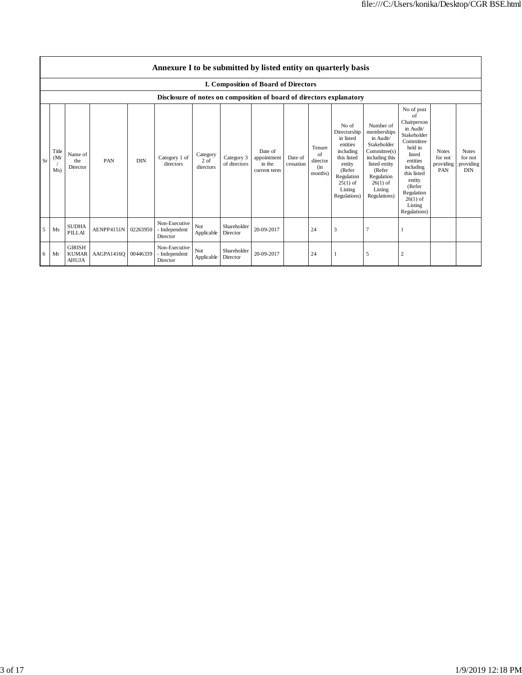|    | Annexure I to be submitted by listed entity on quarterly basis       |                                               |                     |            |                                            |                               |                            |                                                  |                      |                                            |                                                                                                                                                       |                                                                                                                                                                          |                                                                                                                                                                                                                  |                                               |                                                    |
|----|----------------------------------------------------------------------|-----------------------------------------------|---------------------|------------|--------------------------------------------|-------------------------------|----------------------------|--------------------------------------------------|----------------------|--------------------------------------------|-------------------------------------------------------------------------------------------------------------------------------------------------------|--------------------------------------------------------------------------------------------------------------------------------------------------------------------------|------------------------------------------------------------------------------------------------------------------------------------------------------------------------------------------------------------------|-----------------------------------------------|----------------------------------------------------|
|    | I. Composition of Board of Directors                                 |                                               |                     |            |                                            |                               |                            |                                                  |                      |                                            |                                                                                                                                                       |                                                                                                                                                                          |                                                                                                                                                                                                                  |                                               |                                                    |
|    | Disclosure of notes on composition of board of directors explanatory |                                               |                     |            |                                            |                               |                            |                                                  |                      |                                            |                                                                                                                                                       |                                                                                                                                                                          |                                                                                                                                                                                                                  |                                               |                                                    |
| Sr | Title<br>(Mr)<br>Ms)                                                 | Name of<br>the<br>Director                    | PAN                 | <b>DIN</b> | Category 1 of<br>directors                 | Category<br>2 of<br>directors | Category 3<br>of directors | Date of<br>appointment<br>in the<br>current term | Date of<br>cessation | Tenure<br>of<br>director<br>(in<br>months) | No of<br>Directorship<br>in listed<br>entities<br>including<br>this listed<br>entity<br>(Refer<br>Regulation<br>$25(1)$ of<br>Listing<br>Regulations) | Number of<br>memberships<br>in Audit/<br>Stakeholder<br>Committee(s)<br>including this<br>listed entity<br>(Refer<br>Regulation<br>$26(1)$ of<br>Listing<br>Regulations) | No of post<br>of<br>Chairperson<br>in Audit/<br>Stakeholder<br>Committee<br>held in<br>listed<br>entities<br>including<br>this listed<br>entity<br>(Refer<br>Regulation<br>$26(1)$ of<br>Listing<br>Regulations) | <b>Notes</b><br>for not<br>providing  <br>PAN | <b>Notes</b><br>for not<br>providing<br><b>DIN</b> |
| 5  | Ms                                                                   | <b>SUDHA</b><br>PILLAI                        | AENPP4151N 02263950 |            | Non-Executive<br>- Independent<br>Director | Not.<br>Applicable            | Shareholder<br>Director    | 20-09-2017                                       |                      | 24                                         | 3                                                                                                                                                     | $\overline{7}$                                                                                                                                                           |                                                                                                                                                                                                                  |                                               |                                                    |
| 6  | Mr                                                                   | <b>GIRISH</b><br><b>KUMAR</b><br><b>AHUJA</b> | AAGPA1416O 00446339 |            | Non-Executive<br>- Independent<br>Director | Not<br>Applicable             | Shareholder<br>Director    | 20-09-2017                                       |                      | 24                                         |                                                                                                                                                       | 5                                                                                                                                                                        | $\overline{c}$                                                                                                                                                                                                   |                                               |                                                    |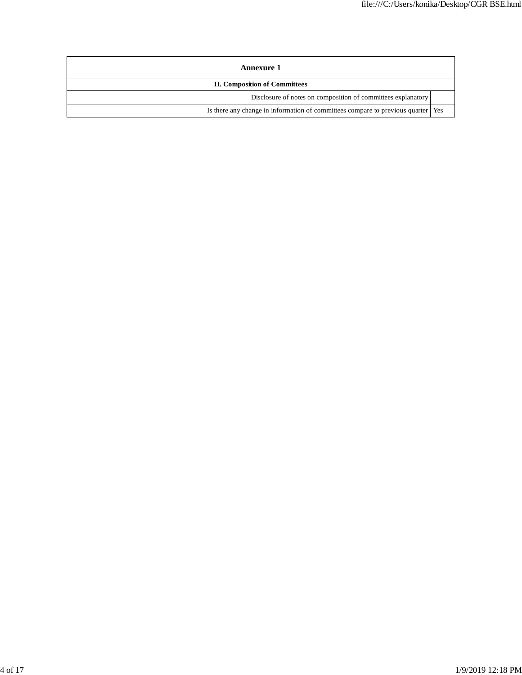| <b>Annexure 1</b>                                                                  |  |  |  |  |  |  |
|------------------------------------------------------------------------------------|--|--|--|--|--|--|
| <b>II. Composition of Committees</b>                                               |  |  |  |  |  |  |
| Disclosure of notes on composition of committees explanatory                       |  |  |  |  |  |  |
| Is there any change in information of committees compare to previous quarter   Yes |  |  |  |  |  |  |